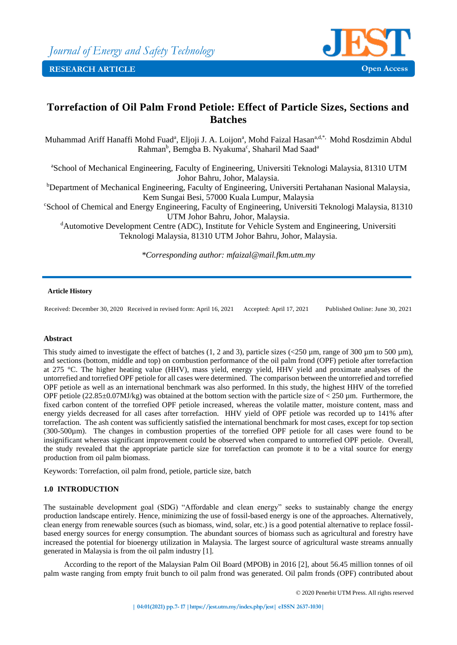

# **Torrefaction of Oil Palm Frond Petiole: Effect of Particle Sizes, Sections and Batches**

Muhammad Ariff Hanaffi Mohd Fuad<sup>a</sup>, Eljoji J. A. Loijon<sup>a</sup>, Mohd Faizal Hasan<sup>a,d,\*,</sup> Mohd Rosdzimin Abdul Rahman<sup>b</sup>, Bemgba B. Nyakuma<sup>c</sup>, Shaharil Mad Saad<sup>a</sup>

<sup>a</sup>School of Mechanical Engineering, Faculty of Engineering, Universiti Teknologi Malaysia, 81310 UTM Johor Bahru, Johor, Malaysia.

<sup>b</sup>Department of Mechanical Engineering, Faculty of Engineering, Universiti Pertahanan Nasional Malaysia, Kem Sungai Besi, 57000 Kuala Lumpur, Malaysia

<sup>c</sup>School of Chemical and Energy Engineering, Faculty of Engineering, Universiti Teknologi Malaysia, 81310 UTM Johor Bahru, Johor, Malaysia.

<sup>d</sup>Automotive Development Centre (ADC), Institute for Vehicle System and Engineering, Universiti Teknologi Malaysia, 81310 UTM Johor Bahru, Johor, Malaysia.

*\*Corresponding author: mfaizal@mail.fkm.utm.my*

## **Article History**

Received: December 30, 2020 Received in revised form: April 16, 2021 Accepted: April 17, 2021 Published Online: June 30, 2021

#### **Abstract**

This study aimed to investigate the effect of batches (1, 2 and 3), particle sizes  $\langle 250 \mu m$ , range of 300  $\mu$ m to 500  $\mu$ m), and sections (bottom, middle and top) on combustion performance of the oil palm frond (OPF) petiole after torrefaction at 275 °C. The higher heating value (HHV), mass yield, energy yield, HHV yield and proximate analyses of the untorrefied and torrefied OPF petiole for all cases were determined. The comparison between the untorrefied and torrefied OPF petiole as well as an international benchmark was also performed. In this study, the highest HHV of the torrefied OPF petiole (22.85 $\pm$ 0.07MJ/kg) was obtained at the bottom section with the particle size of < 250 µm. Furthermore, the fixed carbon content of the torrefied OPF petiole increased, whereas the volatile matter, moisture content, mass and energy yields decreased for all cases after torrefaction. HHV yield of OPF petiole was recorded up to 141% after torrefaction. The ash content was sufficiently satisfied the international benchmark for most cases, except for top section (300-500µm). The changes in combustion properties of the torrefied OPF petiole for all cases were found to be insignificant whereas significant improvement could be observed when compared to untorrefied OPF petiole. Overall, the study revealed that the appropriate particle size for torrefaction can promote it to be a vital source for energy production from oil palm biomass.

Keywords: Torrefaction, oil palm frond, petiole, particle size, batch

## **1.0 INTRODUCTION**

The sustainable development goal (SDG) "Affordable and clean energy" seeks to sustainably change the energy production landscape entirely. Hence, minimizing the use of fossil-based energy is one of the approaches. Alternatively, clean energy from renewable sources (such as biomass, wind, solar, etc.) is a good potential alternative to replace fossilbased energy sources for energy consumption. The abundant sources of biomass such as agricultural and forestry have increased the potential for bioenergy utilization in Malaysia. The largest source of agricultural waste streams annually generated in Malaysia is from the oil palm industry [1].

According to the report of the Malaysian Palm Oil Board (MPOB) in 2016 [2], about 56.45 million tonnes of oil palm waste ranging from empty fruit bunch to oil palm frond was generated. Oil palm fronds (OPF) contributed about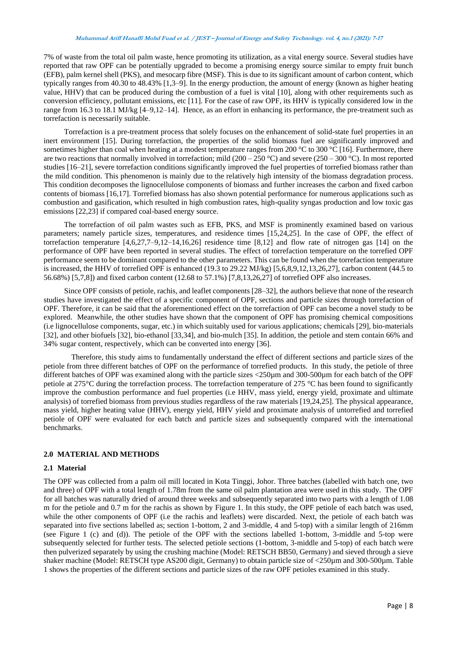#### **Muhammad Ariff Hanaffi Mohd Fuad et al. / JEST – Journal of Energy and Safety Technology. vol. 4, no.1 (2021): 7-17**

7% of waste from the total oil palm waste, hence promoting its utilization, as a vital energy source. Several studies have reported that raw OPF can be potentially upgraded to become a promising energy source similar to empty fruit bunch (EFB), palm kernel shell (PKS), and mesocarp fibre (MSF). This is due to its significant amount of carbon content, which typically ranges from 40.30 to 48.43% [1,3–9]. In the energy production, the amount of energy (known as higher heating value, HHV) that can be produced during the combustion of a fuel is vital [10], along with other requirements such as conversion efficiency, pollutant emissions, etc [11]. For the case of raw OPF, its HHV is typically considered low in the range from 16.3 to 18.1 MJ/kg [4–9,12–14]. Hence, as an effort in enhancing its performance, the pre-treatment such as torrefaction is necessarily suitable.

Torrefaction is a pre-treatment process that solely focuses on the enhancement of solid-state fuel properties in an inert environment [15]. During torrefaction, the properties of the solid biomass fuel are significantly improved and sometimes higher than coal when heating at a modest temperature ranges from 200 °C to 300 °C [16]. Furthermore, there are two reactions that normally involved in torrefaction; mild (200 – 250 °C) and severe (250 – 300 °C). In most reported studies [16–21], severe torrefaction conditions significantly improved the fuel properties of torrefied biomass rather than the mild condition. This phenomenon is mainly due to the relatively high intensity of the biomass degradation process. This condition decomposes the lignocellulose components of biomass and further increases the carbon and fixed carbon contents of biomass [16,17]. Torrefied biomass has also shown potential performance for numerous applications such as combustion and gasification, which resulted in high combustion rates, high-quality syngas production and low toxic gas emissions [22,23] if compared coal-based energy source.

The torrefaction of oil palm wastes such as EFB, PKS, and MSF is prominently examined based on various parameters; namely particle sizes, temperatures, and residence times [15,24,25]. In the case of OPF, the effect of torrefaction temperature  $[4,6,27,7-9,12-14,16,26]$  residence time  $[8,12]$  and flow rate of nitrogen gas  $[14]$  on the performance of OPF have been reported in several studies. The effect of torrefaction temperature on the torrefied OPF performance seem to be dominant compared to the other parameters. This can be found when the torrefaction temperature is increased, the HHV of torrefied OPF is enhanced (19.3 to 29.22 MJ/kg) [5,6,8,9,12,13,26,27], carbon content (44.5 to 56.68%) [5,7,8]) and fixed carbon content (12.68 to 57.1%) [7,8,13,26,27] of torrefied OPF also increases.

Since OPF consists of petiole, rachis, and leaflet components [28–32], the authors believe that none of the research studies have investigated the effect of a specific component of OPF, sections and particle sizes through torrefaction of OPF. Therefore, it can be said that the aforementioned effect on the torrefaction of OPF can become a novel study to be explored. Meanwhile, the other studies have shown that the component of OPF has promising chemical compositions (i.e lignocellulose components, sugar, etc.) in which suitably used for various applications; chemicals [29], bio-materials [32], and other biofuels [32], bio-ethanol [33,34], and bio-mulch [35]. In addition, the petiole and stem contain 66% and 34% sugar content, respectively, which can be converted into energy [36].

Therefore, this study aims to fundamentally understand the effect of different sections and particle sizes of the petiole from three different batches of OPF on the performance of torrefied products. In this study, the petiole of three different batches of OPF was examined along with the particle sizes <250 $\mu$ m and 300-500 $\mu$ m for each batch of the OPF petiole at 275°C during the torrefaction process. The torrefaction temperature of 275 °C has been found to significantly improve the combustion performance and fuel properties (i.e HHV, mass yield, energy yield, proximate and ultimate analysis) of torrefied biomass from previous studies regardless of the raw materials [19,24,25]. The physical appearance, mass yield, higher heating value (HHV), energy yield, HHV yield and proximate analysis of untorrefied and torrefied petiole of OPF were evaluated for each batch and particle sizes and subsequently compared with the international benchmarks.

## **2.0 MATERIAL AND METHODS**

#### **2.1 Material**

The OPF was collected from a palm oil mill located in Kota Tinggi, Johor. Three batches (labelled with batch one, two and three) of OPF with a total length of 1.78m from the same oil palm plantation area were used in this study. The OPF for all batches was naturally dried of around three weeks and subsequently separated into two parts with a length of 1.08 m for the petiole and 0.7 m for the rachis as shown by Figure 1. In this study, the OPF petiole of each batch was used, while the other components of OPF (i.e the rachis and leaflets) were discarded. Next, the petiole of each batch was separated into five sections labelled as; section 1-bottom, 2 and 3-middle, 4 and 5-top) with a similar length of 216mm (see Figure 1 (c) and (d)). The petiole of the OPF with the sections labelled 1-bottom, 3-middle and 5-top were subsequently selected for further tests. The selected petiole sections (1-bottom, 3-middle and 5-top) of each batch were then pulverized separately by using the crushing machine (Model: RETSCH BB50, Germany) and sieved through a sieve shaker machine (Model: RETSCH type AS200 digit, Germany) to obtain particle size of <250µm and 300-500µm. Table 1 shows the properties of the different sections and particle sizes of the raw OPF petioles examined in this study.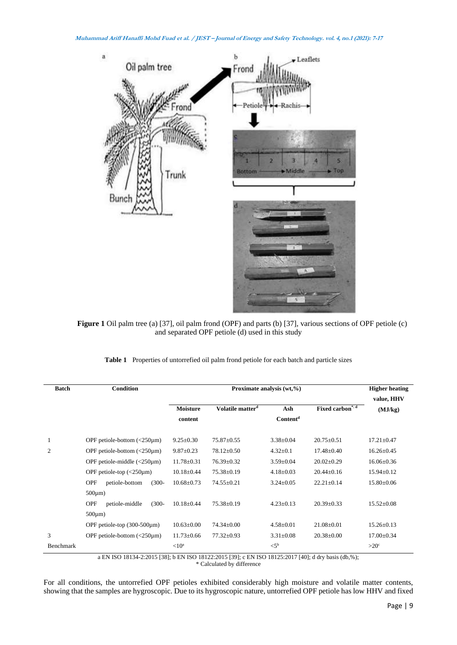

**Figure 1** Oil palm tree (a) [37], oil palm frond (OPF) and parts (b) [37], various sections of OPF petiole (c) and separated OPF petiole (d) used in this study

| Table 1 Properties of untorrefied oil palm frond petiole for each batch and particle sizes |  |
|--------------------------------------------------------------------------------------------|--|
|                                                                                            |  |

| <b>Batch</b> | Condition                                                         | Proximate analysis (wt,%) |                              |                      |                                 | <b>Higher heating</b> |
|--------------|-------------------------------------------------------------------|---------------------------|------------------------------|----------------------|---------------------------------|-----------------------|
|              |                                                                   |                           |                              |                      |                                 | value, HHV            |
|              |                                                                   | <b>Moisture</b>           | Volatile matter <sup>d</sup> | Ash                  | Fixed carbon* <sup>.d</sup>     | (MJ/kg)               |
|              |                                                                   | content                   |                              | Content <sup>d</sup> |                                 |                       |
|              | OPF petiole-bottom $\left\langle \frac{250\mu m}{2}\right\rangle$ | $9.25 \pm 0.30$           | $75.87 \pm 0.55$             | $3.38 \pm 0.04$      | $20.75 \pm 0.51$                | $17.21 \pm 0.47$      |
| 2            | OPF petiole-bottom $\left\langle \frac{250\mu m}{2}\right\rangle$ | $9.87 \pm 0.23$           | 78.12±0.50                   | $4.32 \pm 0.1$       | $17.48 \pm 0.40$                | $16.26 \pm 0.45$      |
|              | OPF petiole-middle $\langle$ -250 $\mu$ m)                        | $11.78 \pm 0.31$          | $76.39 \pm 0.32$             | $3.59 \pm 0.04$      | $20.02 \pm 0.29$                | $16.06 \pm 0.36$      |
|              | OPF petiole-top $\left\langle \frac{250\mu m}{2}\right\rangle$    | $10.18 \pm 0.44$          | $75.38 \pm 0.19$             | $4.18 \pm 0.03$      | $20.44 \pm 0.16$                | $15.94 \pm 0.12$      |
|              | $(300 -$<br><b>OPF</b><br>petiole-bottom                          | $10.68 \pm 0.73$          | $74.55 \pm 0.21$             | $3.24 \pm 0.05$      | $22.21 \pm 0.14$                | $15.80 \pm 0.06$      |
|              | $500 \mu m$ )                                                     |                           |                              |                      |                                 |                       |
|              | <b>OPF</b><br>$(300 -$<br>petiole-middle                          | $10.18 \pm 0.44$          | $75.38 \pm 0.19$             | $4.23 \pm 0.13$      | $20.39 + 0.33$                  | $15.52 \pm 0.08$      |
|              | $500 \mu m$ )                                                     |                           |                              |                      |                                 |                       |
|              | OPF petiole-top (300-500µm)                                       | $10.63 \pm 0.00$          | $74.34 \pm 0.00$             | $4.58 \pm 0.01$      | $21.08 \pm 0.01$                | $15.26 \pm 0.13$      |
| 3            | OPF petiole-bottom $\left( < 250 \mu m \right)$                   | $11.73 \pm 0.66$          | $77.32 \pm 0.93$             | $3.31 \pm 0.08$      | $20.38 \pm 0.00$                | $17.00 \pm 0.34$      |
| Benchmark    | <b>ENITOO 1010 LA A015 5001 1. ENITOO 10100 A015 5001</b>         | $<$ 10 <sup>a</sup>       |                              | $<$ 5 <sup>b</sup>   | T11100.10105.0017.101.11.1.1.00 | $>20^\circ$           |

a EN ISO 18134-2:2015 [38]; b EN ISO 18122:2015 [39]; c EN ISO 18125:2017 [40]; d dry basis (db,%); \* Calculated by difference

For all conditions, the untorrefied OPF petioles exhibited considerably high moisture and volatile matter contents, showing that the samples are hygroscopic. Due to its hygroscopic nature, untorrefied OPF petiole has low HHV and fixed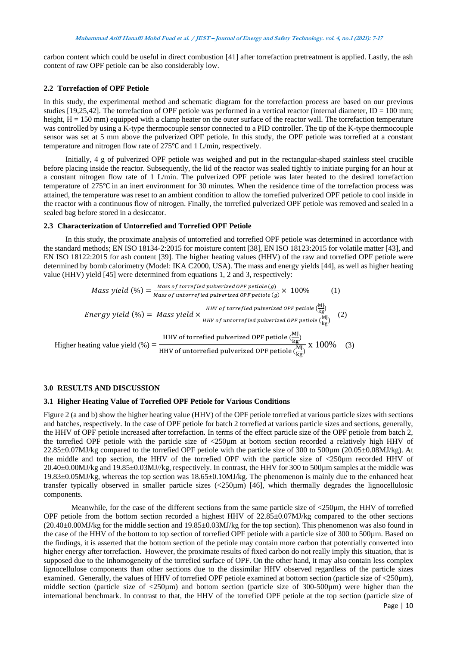carbon content which could be useful in direct combustion [41] after torrefaction pretreatment is applied. Lastly, the ash content of raw OPF petiole can be also considerably low.

## **2.2 Torrefaction of OPF Petiole**

In this study, the experimental method and schematic diagram for the torrefaction process are based on our previous studies [19,25,42]. The torrefaction of OPF petiole was performed in a vertical reactor (internal diameter,  $ID = 100$  mm; height,  $H = 150$  mm) equipped with a clamp heater on the outer surface of the reactor wall. The torrefaction temperature was controlled by using a K-type thermocouple sensor connected to a PID controller. The tip of the K-type thermocouple sensor was set at 5 mm above the pulverized OPF petiole. In this study, the OPF petiole was torrefied at a constant temperature and nitrogen flow rate of 275℃ and 1 L/min, respectively.

Initially, 4 g of pulverized OPF petiole was weighed and put in the rectangular-shaped stainless steel crucible before placing inside the reactor. Subsequently, the lid of the reactor was sealed tightly to initiate purging for an hour at a constant nitrogen flow rate of 1 L/min. The pulverized OPF petiole was later heated to the desired torrefaction temperature of 275℃ in an inert environment for 30 minutes. When the residence time of the torrefaction process was attained, the temperature was reset to an ambient condition to allow the torrefied pulverized OPF petiole to cool inside in the reactor with a continuous flow of nitrogen. Finally, the torrefied pulverized OPF petiole was removed and sealed in a sealed bag before stored in a desiccator.

## **2.3 Characterization of Untorrefied and Torrefied OPF Petiole**

In this study, the proximate analysis of untorrefied and torrefied OPF petiole was determined in accordance with the standard methods; EN ISO 18134-2:2015 for moisture content [38], EN ISO 18123:2015 for volatile matter [43], and EN ISO 18122:2015 for ash content [39]. The higher heating values (HHV) of the raw and torrefied OPF petiole were determined by bomb calorimetry (Model: IKA C2000, USA). The mass and energy yields [44], as well as higher heating value (HHV) yield [45] were determined from equations 1, 2 and 3, respectively:

Mass yield (%) = 
$$
\frac{Mass\ of\ torrefied\ pluverized\ OPF\ petic\ (g)}{\text{Mass}\ of\ untorrefied\ pulverized\ OPF\ petic\ (g)} \times 100\%
$$
 (1)  
\nEnergy yield (%) = Mass yield × 
$$
\frac{HHV\ of\ torrefied\ pluverized\ OPF\ petic\ (Ml)}{HHV\ of\ untorrefied\ pulverized\ OPF\ petic\ (Ml)} \tag{2}
$$
  
\nHigher heating value yield (%) = 
$$
\frac{HHV\ of\ torrefied\ pluverized\ OPF\ petic\ (Ml)}{HHV\ of\ untorrefied\ pulverized\ OPF\ petic\ (Ml)} \times 100\%
$$
 (3)

#### **3.0 RESULTS AND DISCUSSION**

## **3.1 Higher Heating Value of Torrefied OPF Petiole for Various Conditions**

Figure 2 (a and b) show the higher heating value (HHV) of the OPF petiole torrefied at various particle sizes with sections and batches, respectively. In the case of OPF petiole for batch 2 torrefied at various particle sizes and sections, generally, the HHV of OPF petiole increased after torrefaction. In terms of the effect particle size of the OPF petiole from batch 2, the torrefied OPF petiole with the particle size of <250µm at bottom section recorded a relatively high HHV of 22.85±0.07MJ/kg compared to the torrefied OPF petiole with the particle size of 300 to 500µm (20.05±0.08MJ/kg). At the middle and top section, the HHV of the torrefied OPF with the particle size of <250µm recorded HHV of 20.40±0.00MJ/kg and 19.85±0.03MJ//kg, respectively. In contrast, the HHV for 300 to 500µm samples at the middle was 19.83±0.05MJ/kg, whereas the top section was 18.65±0.10MJ/kg. The phenomenon is mainly due to the enhanced heat transfer typically observed in smaller particle sizes (<250µm) [46], which thermally degrades the lignocellulosic components.

Meanwhile, for the case of the different sections from the same particle size of  $\langle 250 \text{µm}$ , the HHV of torrefied OPF petiole from the bottom section recorded a highest HHV of  $22.85\pm0.07$ MJ/kg compared to the other sections  $(20.40\pm0.00\text{MJ/kg}$  for the middle section and  $19.85\pm0.03\text{MJ/kg}$  for the top section). This phenomenon was also found in the case of the HHV of the bottom to top section of torrefied OPF petiole with a particle size of 300 to 500µm. Based on the findings, it is asserted that the bottom section of the petiole may contain more carbon that potentially converted into higher energy after torrefaction. However, the proximate results of fixed carbon do not really imply this situation, that is supposed due to the inhomogeneity of the torrefied surface of OPF. On the other hand, it may also contain less complex lignocellulose components than other sections due to the dissimilar HHV observed regardless of the particle sizes examined. Generally, the values of HHV of torrefied OPF petiole examined at bottom section (particle size of <250 $\mu$ m), middle section (particle size of <250µm) and bottom section (particle size of 300-500µm) were higher than the international benchmark. In contrast to that, the HHV of the torrefied OPF petiole at the top section (particle size of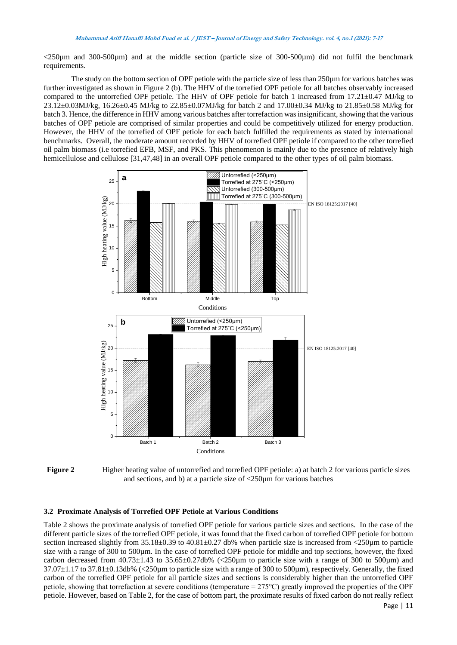$\langle 250 \mu \text{m}$  and 300-500 $\mu$ m) and at the middle section (particle size of 300-500 $\mu$ m) did not fulfil the benchmark requirements.

The study on the bottom section of OPF petiole with the particle size of less than 250µm for various batches was further investigated as shown in Figure 2 (b). The HHV of the torrefied OPF petiole for all batches observably increased compared to the untorrefied OPF petiole. The HHV of OPF petiole for batch 1 increased from 17.21±0.47 MJ/kg to 23.12±0.03MJ/kg, 16.26±0.45 MJ/kg to 22.85±0.07MJ/kg for batch 2 and 17.00±0.34 MJ/kg to 21.85±0.58 MJ/kg for batch 3. Hence, the difference in HHV among various batches after torrefaction wasinsignificant, showing that the various batches of OPF petiole are comprised of similar properties and could be competitively utilized for energy production. However, the HHV of the torrefied of OPF petiole for each batch fulfilled the requirements as stated by international benchmarks. Overall, the moderate amount recorded by HHV of torrefied OPF petiole if compared to the other torrefied oil palm biomass (i.e torrefied EFB, MSF, and PKS. This phenomenon is mainly due to the presence of relatively high hemicellulose and cellulose [31,47,48] in an overall OPF petiole compared to the other types of oil palm biomass.



**Figure 2** Higher heating value of untorrefied and torrefied OPF petiole: a) at batch 2 for various particle sizes and sections, and b) at a particle size of <250µm for various batches

## **3.2 Proximate Analysis of Torrefied OPF Petiole at Various Conditions**

Table 2 shows the proximate analysis of torrefied OPF petiole for various particle sizes and sections. In the case of the different particle sizes of the torrefied OPF petiole, it was found that the fixed carbon of torrefied OPF petiole for bottom section increased slightly from 35.18±0.39 to 40.81±0.27 db% when particle size is increased from <250 $\mu$ m to particle size with a range of 300 to 500µm. In the case of torrefied OPF petiole for middle and top sections, however, the fixed carbon decreased from  $40.73\pm1.43$  to  $35.65\pm0.27$ db% (<250 $\mu$ m to particle size with a range of 300 to 500 $\mu$ m) and 37.07±1.17 to 37.81±0.13db% (<250µm to particle size with a range of 300 to 500µm), respectively. Generally, the fixed carbon of the torrefied OPF petiole for all particle sizes and sections is considerably higher than the untorrefied OPF petiole, showing that torrefaction at severe conditions (temperature = 275℃) greatly improved the properties of the OPF petiole. However, based on Table 2, for the case of bottom part, the proximate results of fixed carbon do not really reflect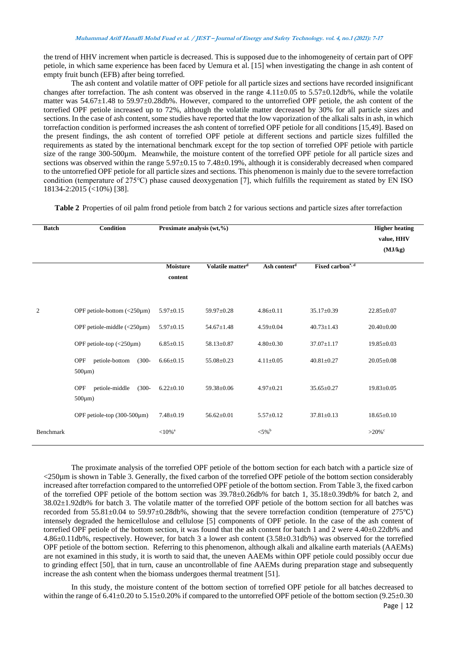the trend of HHV increment when particle is decreased. This is supposed due to the inhomogeneity of certain part of OPF petiole, in which same experience has been faced by Uemura et al. [15] when investigating the change in ash content of empty fruit bunch (EFB) after being torrefied.

The ash content and volatile matter of OPF petiole for all particle sizes and sections have recorded insignificant changes after torrefaction. The ash content was observed in the range  $4.11\pm0.05$  to  $5.57\pm0.12$ db%, while the volatile matter was 54.67±1.48 to 59.97±0.28db%. However, compared to the untorrefied OPF petiole, the ash content of the torrefied OPF petiole increased up to 72%, although the volatile matter decreased by 30% for all particle sizes and sections. In the case of ash content, some studies have reported that the low vaporization of the alkali salts in ash, in which torrefaction condition is performed increases the ash content of torrefied OPF petiole for all conditions [15,49]. Based on the present findings, the ash content of torrefied OPF petiole at different sections and particle sizes fulfilled the requirements as stated by the international benchmark except for the top section of torrefied OPF petiole with particle size of the range 300-500µm. Meanwhile, the moisture content of the torrefied OPF petiole for all particle sizes and sections was observed within the range 5.97 $\pm$ 0.15 to 7.48 $\pm$ 0.19%, although it is considerably decreased when compared to the untorrefied OPF petiole for all particle sizes and sections. This phenomenon is mainly due to the severe torrefaction condition (temperature of 275℃) phase caused deoxygenation [7], which fulfills the requirement as stated by EN ISO 18134-2:2015 (<10%) [38].

**Table 2** Properties of oil palm frond petiole from batch 2 for various sections and particle sizes after torrefaction

| <b>Batch</b>   | <b>Condition</b>                                                                                                     | Proximate analysis (wt,%)          |                                |                                    |                                      | <b>Higher heating</b><br>value, HHV<br>(MJ/kg) |
|----------------|----------------------------------------------------------------------------------------------------------------------|------------------------------------|--------------------------------|------------------------------------|--------------------------------------|------------------------------------------------|
|                |                                                                                                                      | <b>Moisture</b><br>content         | Volatile matter <sup>d</sup>   | Ash content <sup>d</sup>           | Fixed carbon <sup>*, d</sup>         |                                                |
| $\overline{c}$ | OPF petiole-bottom $\left( < 250 \mu m \right)$<br>OPF petiole-middle $\left\langle \frac{250\mu m}{2}\right\rangle$ | $5.97 \pm 0.15$<br>$5.97 \pm 0.15$ | 59.97±0.28<br>$54.67 \pm 1.48$ | $4.86 \pm 0.11$<br>$4.59 \pm 0.04$ | $35.17 \pm 0.39$<br>$40.73 \pm 1.43$ | $22.85 \pm 0.07$<br>$20.40 \pm 0.00$           |
|                | OPF petiole-top $\left\langle \text{<}250\mu\text{m}\right\rangle$                                                   | $6.85 \pm 0.15$                    | 58.13±0.87                     | $4.80 \pm 0.30$                    | $37.07 \pm 1.17$                     | $19.85 \pm 0.03$                               |
|                | petiole-bottom<br>$(300 -$<br><b>OPF</b><br>$500 \mu m$ )                                                            | $6.66 \pm 0.15$                    | 55.08±0.23                     | $4.11 \pm 0.05$                    | $40.81 \pm 0.27$                     | $20.05 \pm 0.08$                               |
|                | <b>OPF</b><br>petiole-middle<br>$(300 -$<br>$500 \mu m$ )                                                            | $6.22 \pm 0.10$                    | 59.38±0.06                     | $4.97 \pm 0.21$                    | $35.65 \pm 0.27$                     | $19.83 \pm 0.05$                               |
|                | OPF petiole-top $(300-500 \mu m)$                                                                                    | $7.48 \pm 0.19$                    | $56.62 \pm 0.01$               | $5.57 \pm 0.12$                    | $37.81 \pm 0.13$                     | $18.65 \pm 0.10$                               |
| Benchmark      |                                                                                                                      | ${<}10\%$ <sup>a</sup>             |                                | $<$ 5% $b$                         |                                      | $>20\%$                                        |

The proximate analysis of the torrefied OPF petiole of the bottom section for each batch with a particle size of <250µm is shown in Table 3. Generally, the fixed carbon of the torrefied OPF petiole of the bottom section considerably increased after torrefaction compared to the untorrefied OPF petiole of the bottom section. From Table 3, the fixed carbon of the torrefied OPF petiole of the bottom section was 39.78±0.26db% for batch 1, 35.18±0.39db% for batch 2, and 38.02±1.92db% for batch 3. The volatile matter of the torrefied OPF petiole of the bottom section for all batches was recorded from 55.81±0.04 to 59.97±0.28db%, showing that the severe torrefaction condition (temperature of 275℃) intensely degraded the hemicellulose and cellulose [5] components of OPF petiole. In the case of the ash content of torrefied OPF petiole of the bottom section, it was found that the ash content for batch 1 and 2 were 4.40±0.22db% and 4.86±0.11db%, respectively. However, for batch 3 a lower ash content (3.58±0.31db%) was observed for the torrefied OPF petiole of the bottom section. Referring to this phenomenon, although alkali and alkaline earth materials (AAEMs) are not examined in this study, it is worth to said that, the uneven AAEMs within OPF petiole could possibly occur due to grinding effect [50], that in turn, cause an uncontrollable of fine AAEMs during preparation stage and subsequently increase the ash content when the biomass undergoes thermal treatment [51].

In this study, the moisture content of the bottom section of torrefied OPF petiole for all batches decreased to within the range of  $6.41\pm0.20$  to  $5.15\pm0.20$ % if compared to the untorrefied OPF petiole of the bottom section (9.25 $\pm0.30$ )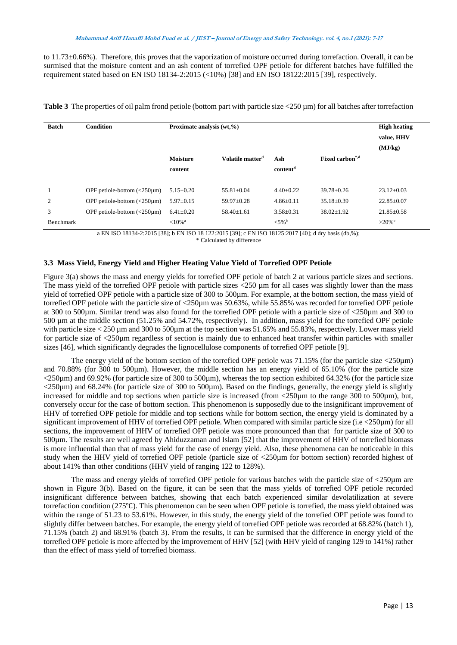to 11.73±0.66%). Therefore, this proves that the vaporization of moisture occurred during torrefaction. Overall, it can be surmised that the moisture content and an ash content of torrefied OPF petiole for different batches have fulfilled the requirement stated based on EN ISO 18134-2:2015 (<10%) [38] and EN ISO 18122:2015 [39], respectively.

| <b>Batch</b>     | <b>Condition</b>                                                  | Proximate analysis (wt,%) |                              |                       |                             | <b>High heating</b><br>value, HHV<br>(MJ/kg) |
|------------------|-------------------------------------------------------------------|---------------------------|------------------------------|-----------------------|-----------------------------|----------------------------------------------|
|                  |                                                                   | <b>Moisture</b>           | Volatile matter <sup>d</sup> | Ash                   | Fixed carbon <sup>*,d</sup> |                                              |
|                  |                                                                   | content                   |                              | content <sup>d</sup>  |                             |                                              |
|                  |                                                                   |                           |                              |                       |                             |                                              |
|                  | OPF petiole-bottom $\left( < 250 \mu m \right)$                   | $5.15 \pm 0.20$           | $55.81 \pm 0.04$             | $4.40 \pm 0.22$       | $39.78 \pm 0.26$            | $23.12 \pm 0.03$                             |
| 2                | OPF petiole-bottom $\left( < 250 \mu m \right)$                   | $5.97 \pm 0.15$           | $59.97 \pm 0.28$             | $4.86 \pm 0.11$       | $35.18 \pm 0.39$            | $22.85 \pm 0.07$                             |
| 3                | OPF petiole-bottom $\left\langle \frac{250\mu m}{2}\right\rangle$ | $6.41 \pm 0.20$           | $58.40 \pm 1.61$             | $3.58 \pm 0.31$       | $38.02 \pm 1.92$            | $21.85 \pm 0.58$                             |
| <b>Benchmark</b> |                                                                   | ${<}10\%$ <sup>a</sup>    |                              | ${<}5\%$ <sup>b</sup> |                             | $>20\%$                                      |

**Table 3** The properties of oil palm frond petiole (bottom part with particle size <250 µm) for all batches after torrefaction

a EN ISO 18134-2:2015 [38]; b EN ISO 18 122:2015 [39]; c EN ISO 18125:2017 [40]; d dry basis (db,%);

\* Calculated by difference

## **3.3 Mass Yield, Energy Yield and Higher Heating Value Yield of Torrefied OPF Petiole**

Figure 3(a) shows the mass and energy yields for torrefied OPF petiole of batch 2 at various particle sizes and sections. The mass yield of the torrefied OPF petiole with particle sizes <250 µm for all cases was slightly lower than the mass yield of torrefied OPF petiole with a particle size of 300 to 500µm. For example, at the bottom section, the mass yield of torrefied OPF petiole with the particle size of <250 $\mu$ m was 50.63%, while 55.85% was recorded for torrefied OPF petiole at 300 to 500µm. Similar trend was also found for the torrefied OPF petiole with a particle size of <250µm and 300 to 500 µm at the middle section (51.25% and 54.72%, respectively). In addition, mass yield for the torrefied OPF petiole with particle size < 250 µm and 300 to 500µm at the top section was 51.65% and 55.83%, respectively. Lower mass yield for particle size of <250µm regardless of section is mainly due to enhanced heat transfer within particles with smaller sizes [46], which significantly degrades the lignocellulose components of torrefied OPF petiole [9].

The energy yield of the bottom section of the torrefied OPF petiole was 71.15% (for the particle size  $\langle 250 \mu m \rangle$ ) and 70.88% (for 300 to 500µm). However, the middle section has an energy yield of 65.10% (for the particle size  $\langle 250\mu m \rangle$  and 69.92% (for particle size of 300 to 500 $\mu$ m), whereas the top section exhibited 64.32% (for the particle size  $\langle$ 250 $\mu$ m) and 68.24% (for particle size of 300 to 500 $\mu$ m). Based on the findings, generally, the energy yield is slightly increased for middle and top sections when particle size is increased (from <250µm to the range 300 to 500µm), but, conversely occur for the case of bottom section. This phenomenon is supposedly due to the insignificant improvement of HHV of torrefied OPF petiole for middle and top sections while for bottom section, the energy yield is dominated by a significant improvement of HHV of torrefied OPF petiole. When compared with similar particle size (i.e <250µm) for all sections, the improvement of HHV of torrefied OPF petiole was more pronounced than that for particle size of 300 to 500µm. The results are well agreed by Ahiduzzaman and Islam [52] that the improvement of HHV of torrefied biomass is more influential than that of mass yield for the case of energy yield. Also, these phenomena can be noticeable in this study when the HHV yield of torrefied OPF petiole (particle size of <250µm for bottom section) recorded highest of about 141% than other conditions (HHV yield of ranging 122 to 128%).

The mass and energy yields of torrefied OPF petiole for various batches with the particle size of <250µm are shown in Figure 3(b). Based on the figure, it can be seen that the mass yields of torrefied OPF petiole recorded insignificant difference between batches, showing that each batch experienced similar devolatilization at severe torrefaction condition (275℃). This phenomenon can be seen when OPF petiole is torrefied, the mass yield obtained was within the range of 51.23 to 53.61%. However, in this study, the energy yield of the torrefied OPF petiole was found to slightly differ between batches. For example, the energy yield of torrefied OPF petiole was recorded at 68.82% (batch 1), 71.15% (batch 2) and 68.91% (batch 3). From the results, it can be surmised that the difference in energy yield of the torrefied OPF petiole is more affected by the improvement of HHV [52] (with HHV yield of ranging 129 to 141%) rather than the effect of mass yield of torrefied biomass.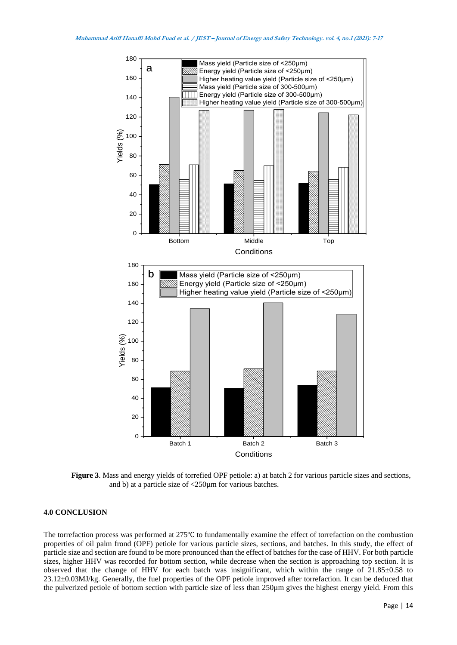

**Figure 3**. Mass and energy yields of torrefied OPF petiole: a) at batch 2 for various particle sizes and sections, and b) at a particle size of <250µm for various batches.

## **4.0 CONCLUSION**

The torrefaction process was performed at 275℃ to fundamentally examine the effect of torrefaction on the combustion properties of oil palm frond (OPF) petiole for various particle sizes, sections, and batches. In this study, the effect of particle size and section are found to be more pronounced than the effect of batches for the case of HHV. For both particle sizes, higher HHV was recorded for bottom section, while decrease when the section is approaching top section. It is observed that the change of HHV for each batch was insignificant, which within the range of 21.85±0.58 to 23.12±0.03MJ/kg. Generally, the fuel properties of the OPF petiole improved after torrefaction. It can be deduced that the pulverized petiole of bottom section with particle size of less than 250µm gives the highest energy yield. From this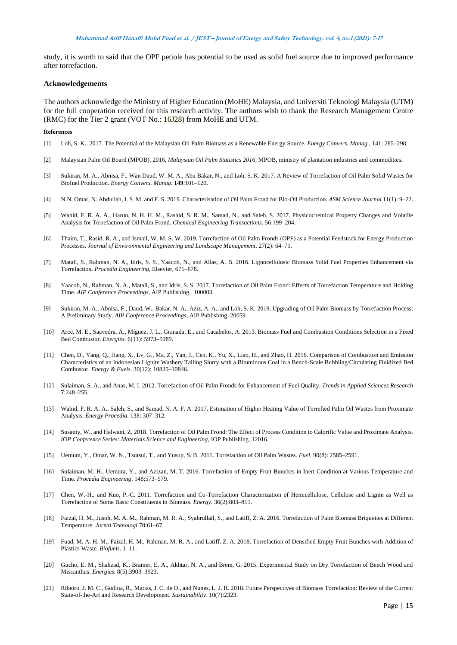study, it is worth to said that the OPF petiole has potential to be used as solid fuel source due to improved performance after torrefaction.

#### **Acknowledgements**

The authors acknowledge the Ministry of Higher Education (MoHE) Malaysia, and Universiti Teknologi Malaysia (UTM) for the full cooperation received for this research activity. The authors wish to thank the Research Management Centre (RMC) for the Tier 2 grant (VOT No.: 16J28) from MoHE and UTM.

#### **References**

- [1] Loh, S. K.. 2017. The Potential of the Malaysian Oil Palm Biomass as a Renewable Energy Source. *Energy Convers. Manag.*, 141: 285–298.
- [2] Malaysian Palm Oil Board (MPOB), 2016, *Malaysian Oil Palm Statistics 2016*, MPOB, ministry of plantation industries and commodities.
- [3] Sukiran, M. A., Abnisa, F., Wan Daud, W. M. A., Abu Bakar, N., and Loh, S. K. 2017. A Review of Torrefaction of Oil Palm Solid Wastes for Biofuel Production. *Energy Convers. Manag.* **149**:101–120.
- [4] N.N. Omar, N. Abdullah, I. S. M. and F. S. 2019. Characterisation of Oil Palm Frond for Bio-Oil Production. *ASM Science Journal* 11(1): 9–22.
- [5] Wahid, F. R. A. A., Harun, N. H. H. M., Rashid, S. R. M., Samad, N., and Saleh, S. 2017. Physicochemical Property Changes and Volatile Analysis for Torrefaction of Oil Palm Frond. *Chemical Engineering Transactions.* 56:199–204.
- [6] Thaim, T., Rasid, R. A., and Ismail, W. M. S. W. 2019. Torrefaction of Oil Palm Fronds (OPF) as a Potential Feedstock for Energy Production Processes. *Journal of Environmental Engineering and Landscape Management.* 27(2): 64–71.
- [7] Matali, S., Rahman, N. A., Idris, S. S., Yaacob, N., and Alias, A. B. 2016. Lignocellulosic Biomass Solid Fuel Properties Enhancement via Torrefaction. *Procedia Engineering*, Elsevier, 671–678.
- [8] Yaacob, N., Rahman, N. A., Matali, S., and Idris, S. S. 2017. Torrefaction of Oil Palm Frond: Effects of Torrefaction Temperature and Holding Time. *AIP Conference Proceedings*, AIP Publishing, 100003.
- [9] Sukiran, M. A., Abnisa, F., Daud, W., Bakar, N. A., Aziz, A. A., and Loh, S. K. 2019. Upgrading of Oil Palm Biomass by Torrefaction Process: A Preliminary Study. *AIP Conference Proceedings*, AIP Publishing, 20059.
- [10] Arce, M. E., Saavedra, Á., Míguez, J. L., Granada, E., and Cacabelos, A. 2013. Biomass Fuel and Combustion Conditions Selection in a Fixed Bed Combustor. *Energies*. 6(11): 5973–5989.
- [11] Chen, D., Yang, Q., Jiang, X., Lv, G., Ma, Z., Yan, J., Cen, K., Yu, X., Liao, H., and Zhao, H. 2016. Comparison of Combustion and Emission Characteristics of an Indonesian Lignite Washery Tailing Slurry with a Bituminous Coal in a Bench-Scale Bubbling/Circulating Fluidized Bed Combustor. *Energy & Fuels*. 30(12): 10835–10846.
- [12] Sulaiman, S. A., and Anas, M. I. 2012. Torrefaction of Oil Palm Fronds for Enhancement of Fuel Quality. *Trends in Applied Sciences Research* **7**:248–255.
- [13] Wahid, F. R. A. A., Saleh, S., and Samad, N. A. F. A. 2017. Estimation of Higher Heating Value of Torrefied Palm Oil Wastes from Proximate Analysis. *Energy Procedia*. 138: 307–312.
- [14] Susanty, W., and Helwani, Z. 2018. Torrefaction of Oil Palm Frond: The Effect of Process Condition to Calorific Value and Proximate Analysis. *IOP Conference Series: Materials Science and Engineering*, IOP Publishing. 12016.
- [15] Uemura, Y., Omar, W. N., Tsutsui, T., and Yusup, S. B. 2011. Torrefaction of Oil Palm Wastes. *Fuel*. 90(8): 2585–2591.
- [16] Sulaiman, M. H., Uemura, Y., and Azizan, M. T. 2016. Torrefaction of Empty Fruit Bunches in Inert Condition at Various Temperature and Time. *Procedia Engineering*. 148:573–579.
- [17] Chen, W.-H., and Kuo, P.-C. 2011. Torrefaction and Co-Torrefaction Characterization of Hemicellulose, Cellulose and Lignin as Well as Torrefaction of Some Basic Constituents in Biomass. *Energy*. 36(2):803–811.
- [18] Faizal, H. M., Jusoh, M. A. M., Rahman, M. R. A., Syahrullail, S., and Latiff, Z. A. 2016. Torrefaction of Palm Biomass Briquettes at Different Temperature. *Jurnal Teknologi* 78:61–67.
- [19] Fuad, M. A. H. M., Faizal, H. M., Rahman, M. R. A., and Latiff, Z. A. 2018. Torrefaction of Densified Empty Fruit Bunches with Addition of Plastics Waste. *Biofuels*. 1–11.
- [20] Gucho, E. M., Shahzad, K., Bramer, E. A., Akhtar, N. A., and Brem, G. 2015. Experimental Study on Dry Torrefaction of Beech Wood and Miscanthus. *Energies*. 8(5):3903–3923.
- [21] Ribeiro, J. M. C., Godina, R., Matias, J. C. de O., and Nunes, L. J. R. 2018. Future Perspectives of Biomass Torrefaction: Review of the Current State-of-the-Art and Research Development. *Sustainability*. 10(7):2323.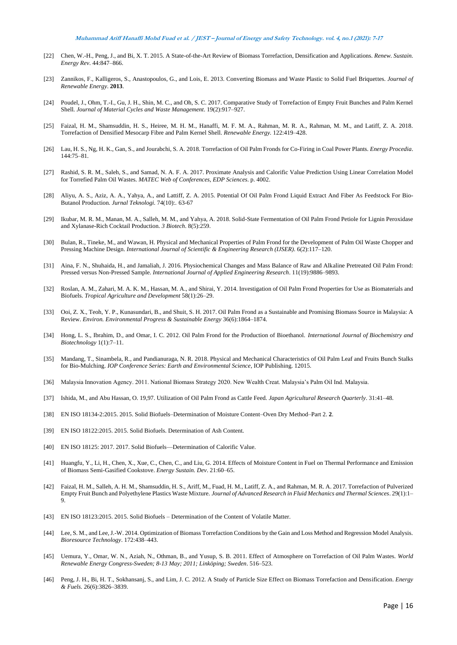- [22] Chen, W.-H., Peng, J., and Bi, X. T. 2015. A State-of-the-Art Review of Biomass Torrefaction, Densification and Applications. *Renew. Sustain. Energy Rev*. 44:847–866.
- [23] Zannikos, F., Kalligeros, S., Anastopoulos, G., and Lois, E. 2013. Converting Biomass and Waste Plastic to Solid Fuel Briquettes. *Journal of Renewable Energy*. **2013**.
- [24] Poudel, J., Ohm, T.-I., Gu, J. H., Shin, M. C., and Oh, S. C. 2017. Comparative Study of Torrefaction of Empty Fruit Bunches and Palm Kernel Shell. *Journal of Material Cycles and Waste Management*. 19(2):917–927.
- [25] Faizal, H. M., Shamsuddin, H. S., Heiree, M. H. M., Hanaffi, M. F. M. A., Rahman, M. R. A., Rahman, M. M., and Latiff, Z. A. 2018. Torrefaction of Densified Mesocarp Fibre and Palm Kernel Shell. *Renewable Energy.* 122:419–428.
- [26] Lau, H. S., Ng, H. K., Gan, S., and Jourabchi, S. A. 2018. Torrefaction of Oil Palm Fronds for Co-Firing in Coal Power Plants. *Energy Procedia*. 144:75–81.
- [27] Rashid, S. R. M., Saleh, S., and Samad, N. A. F. A. 2017. Proximate Analysis and Calorific Value Prediction Using Linear Correlation Model for Torrefied Palm Oil Wastes. *MATEC Web of Conferences*, *EDP Sciences*. p. 4002.
- [28] Aliyu, A. S., Aziz, A. A., Yahya, A., and Lattiff, Z. A. 2015. Potential Of Oil Palm Frond Liquid Extract And Fiber As Feedstock For Bio-Butanol Production. *Jurnal Teknologi.* 74(10):. 63-67
- [29] Ikubar, M. R. M., Manan, M. A., Salleh, M. M., and Yahya, A. 2018. Solid-State Fermentation of Oil Palm Frond Petiole for Lignin Peroxidase and Xylanase-Rich Cocktail Production. *3 Biotech*. 8(5):259.
- [30] Bulan, R., Tineke, M., and Wawan, H. Physical and Mechanical Properties of Palm Frond for the Development of Palm Oil Waste Chopper and Pressing Machine Design. *International Journal of Scientific & Engineering Research (IJSER).* 6(2):117–120.
- [31] Aina, F. N., Shuhaida, H., and Jamaliah, J. 2016. Physiochemical Changes and Mass Balance of Raw and Alkaline Pretreated Oil Palm Frond: Pressed versus Non-Pressed Sample. *International Journal of Applied Engineering Research*. 11(19):9886–9893.
- [32] Roslan, A. M., Zahari, M. A. K. M., Hassan, M. A., and Shirai, Y. 2014. Investigation of Oil Palm Frond Properties for Use as Biomaterials and Biofuels. *Tropical Agriculture and Development* 58(1):26–29.
- [33] Ooi, Z. X., Teoh, Y. P., Kunasundari, B., and Shuit, S. H. 2017. Oil Palm Frond as a Sustainable and Promising Biomass Source in Malaysia: A Review. *Environ. Environmental Progress & Sustainable Energy* 36(6):1864–1874.
- [34] Hong, L. S., Ibrahim, D., and Omar, I. C. 2012. Oil Palm Frond for the Production of Bioethanol. *International Journal of Biochemistry and Biotechnology* 1(1):7–11.
- [35] Mandang, T., Sinambela, R., and Pandianuraga, N. R. 2018. Physical and Mechanical Characteristics of Oil Palm Leaf and Fruits Bunch Stalks for Bio-Mulching. *IOP Conference Series: Earth and Environmental Science*, IOP Publishing. 12015.
- [36] Malaysia Innovation Agency. 2011. National Biomass Strategy 2020. New Wealth Creat. Malaysia's Palm Oil Ind. Malaysia.
- [37] Ishida, M., and Abu Hassan, O. 19,97. Utilization of Oil Palm Frond as Cattle Feed. *Japan Agricultural Research Quarterly*. 31:41–48.
- [38] EN ISO 18134-2:2015. 2015. Solid Biofuels–Determination of Moisture Content–Oven Dry Method–Part 2. **2**.
- [39] EN ISO 18122:2015. 2015. Solid Biofuels. Determination of Ash Content.
- [40] EN ISO 18125: 2017. 2017. Solid Biofuels—Determination of Calorific Value.
- [41] Huangfu, Y., Li, H., Chen, X., Xue, C., Chen, C., and Liu, G. 2014. Effects of Moisture Content in Fuel on Thermal Performance and Emission of Biomass Semi-Gasified Cookstove. *Energy Sustain. Dev*. 21:60–65.
- [42] Faizal, H. M., Salleh, A. H. M., Shamsuddin, H. S., Ariff, M., Fuad, H. M., Latiff, Z. A., and Rahman, M. R. A. 2017. Torrefaction of Pulverized Empty Fruit Bunch and Polyethylene Plastics Waste Mixture. *Journal of Advanced Research in Fluid Mechanics and Thermal Sciences*. 29(1):1– 9.
- [43] EN ISO 18123:2015. 2015. Solid Biofuels Determination of the Content of Volatile Matter.
- [44] Lee, S. M., and Lee, J.-W. 2014. Optimization of Biomass Torrefaction Conditions by the Gain and Loss Method and Regression Model Analysis. *Bioresource Technology*. 172:438–443.
- [45] Uemura, Y., Omar, W. N., Aziah, N., Othman, B., and Yusup, S. B. 2011. Effect of Atmosphere on Torrefaction of Oil Palm Wastes. *World Renewable Energy Congress-Sweden; 8-13 May; 2011; Linköping; Sweden*. 516–523.
- [46] Peng, J. H., Bi, H. T., Sokhansanj, S., and Lim, J. C. 2012. A Study of Particle Size Effect on Biomass Torrefaction and Densification. *Energy & Fuels*. 26(6):3826–3839.